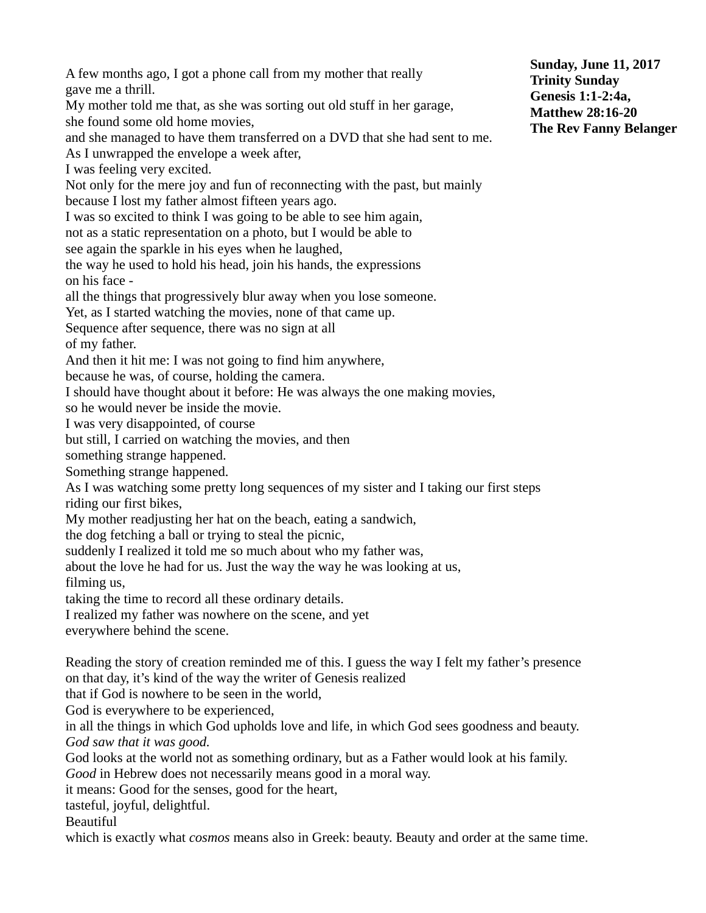A few months ago, I got a phone call from my mother that really gave me a thrill. My mother told me that, as she was sorting out old stuff in her garage,

she found some old home movies,

and she managed to have them transferred on a DVD that she had sent to me.

As I unwrapped the envelope a week after,

I was feeling very excited.

Not only for the mere joy and fun of reconnecting with the past, but mainly because I lost my father almost fifteen years ago.

I was so excited to think I was going to be able to see him again,

not as a static representation on a photo, but I would be able to

see again the sparkle in his eyes when he laughed,

the way he used to hold his head, join his hands, the expressions on his face -

all the things that progressively blur away when you lose someone.

Yet, as I started watching the movies, none of that came up.

Sequence after sequence, there was no sign at all

of my father.

And then it hit me: I was not going to find him anywhere,

because he was, of course, holding the camera.

I should have thought about it before: He was always the one making movies,

so he would never be inside the movie.

I was very disappointed, of course

but still, I carried on watching the movies, and then

something strange happened.

Something strange happened.

As I was watching some pretty long sequences of my sister and I taking our first steps riding our first bikes,

My mother readjusting her hat on the beach, eating a sandwich,

the dog fetching a ball or trying to steal the picnic,

suddenly I realized it told me so much about who my father was,

about the love he had for us. Just the way the way he was looking at us,

filming us,

taking the time to record all these ordinary details.

I realized my father was nowhere on the scene, and yet

everywhere behind the scene.

Reading the story of creation reminded me of this. I guess the way I felt my father's presence on that day, it's kind of the way the writer of Genesis realized

that if God is nowhere to be seen in the world,

God is everywhere to be experienced,

in all the things in which God upholds love and life, in which God sees goodness and beauty. *God saw that it was good.*

God looks at the world not as something ordinary, but as a Father would look at his family. *Good* in Hebrew does not necessarily means good in a moral way.

it means: Good for the senses, good for the heart,

tasteful, joyful, delightful.

**Beautiful** 

which is exactly what *cosmos* means also in Greek: beauty. Beauty and order at the same time.

**Sunday, June 11, 2017 Trinity Sunday Genesis 1:1-2:4a, Matthew 28:16-20 The Rev Fanny Belanger**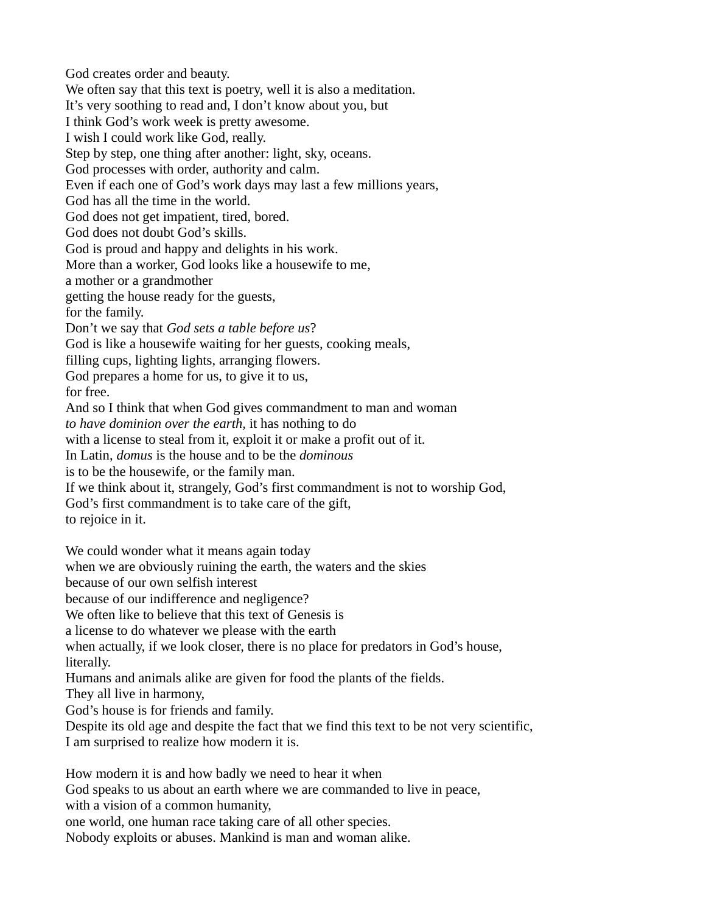God creates order and beauty. We often say that this text is poetry, well it is also a meditation. It's very soothing to read and, I don't know about you, but I think God's work week is pretty awesome. I wish I could work like God, really. Step by step, one thing after another: light, sky, oceans. God processes with order, authority and calm. Even if each one of God's work days may last a few millions years, God has all the time in the world. God does not get impatient, tired, bored. God does not doubt God's skills. God is proud and happy and delights in his work. More than a worker, God looks like a housewife to me, a mother or a grandmother getting the house ready for the guests, for the family. Don't we say that *God sets a table before us*? God is like a housewife waiting for her guests, cooking meals, filling cups, lighting lights, arranging flowers. God prepares a home for us, to give it to us, for free. And so I think that when God gives commandment to man and woman *to have dominion over the earth,* it has nothing to do with a license to steal from it, exploit it or make a profit out of it. In Latin, *domus* is the house and to be the *dominous* is to be the housewife, or the family man. If we think about it, strangely, God's first commandment is not to worship God, God's first commandment is to take care of the gift, to rejoice in it. We could wonder what it means again today when we are obviously ruining the earth, the waters and the skies because of our own selfish interest because of our indifference and negligence? We often like to believe that this text of Genesis is a license to do whatever we please with the earth when actually, if we look closer, there is no place for predators in God's house, literally. Humans and animals alike are given for food the plants of the fields. They all live in harmony, God's house is for friends and family.

Despite its old age and despite the fact that we find this text to be not very scientific, I am surprised to realize how modern it is.

How modern it is and how badly we need to hear it when God speaks to us about an earth where we are commanded to live in peace, with a vision of a common humanity, one world, one human race taking care of all other species. Nobody exploits or abuses. Mankind is man and woman alike.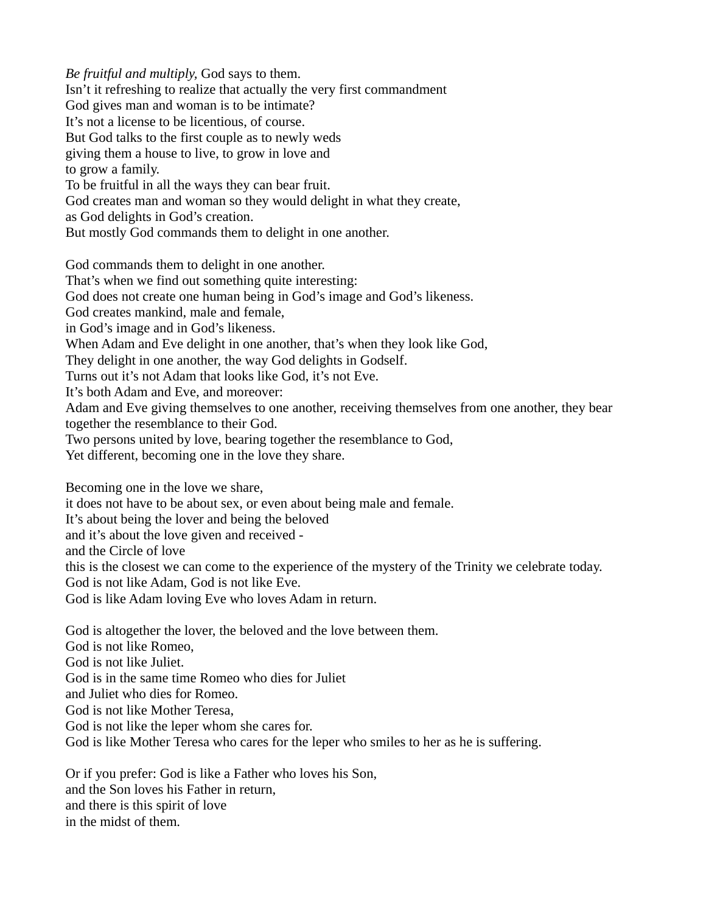*Be fruitful and multiply,* God says to them. Isn't it refreshing to realize that actually the very first commandment God gives man and woman is to be intimate? It's not a license to be licentious, of course. But God talks to the first couple as to newly weds giving them a house to live, to grow in love and to grow a family. To be fruitful in all the ways they can bear fruit. God creates man and woman so they would delight in what they create, as God delights in God's creation. But mostly God commands them to delight in one another. God commands them to delight in one another. That's when we find out something quite interesting: God does not create one human being in God's image and God's likeness.

God creates mankind, male and female,

in God's image and in God's likeness.

When Adam and Eve delight in one another, that's when they look like God,

They delight in one another, the way God delights in Godself.

Turns out it's not Adam that looks like God, it's not Eve.

It's both Adam and Eve, and moreover:

Adam and Eve giving themselves to one another, receiving themselves from one another, they bear together the resemblance to their God.

Two persons united by love, bearing together the resemblance to God,

Yet different, becoming one in the love they share.

Becoming one in the love we share,

it does not have to be about sex, or even about being male and female.

It's about being the lover and being the beloved

and it's about the love given and received -

and the Circle of love

this is the closest we can come to the experience of the mystery of the Trinity we celebrate today.

God is not like Adam, God is not like Eve.

God is like Adam loving Eve who loves Adam in return.

God is altogether the lover, the beloved and the love between them. God is not like Romeo, God is not like Juliet. God is in the same time Romeo who dies for Juliet and Juliet who dies for Romeo. God is not like Mother Teresa, God is not like the leper whom she cares for. God is like Mother Teresa who cares for the leper who smiles to her as he is suffering.

Or if you prefer: God is like a Father who loves his Son, and the Son loves his Father in return, and there is this spirit of love in the midst of them.